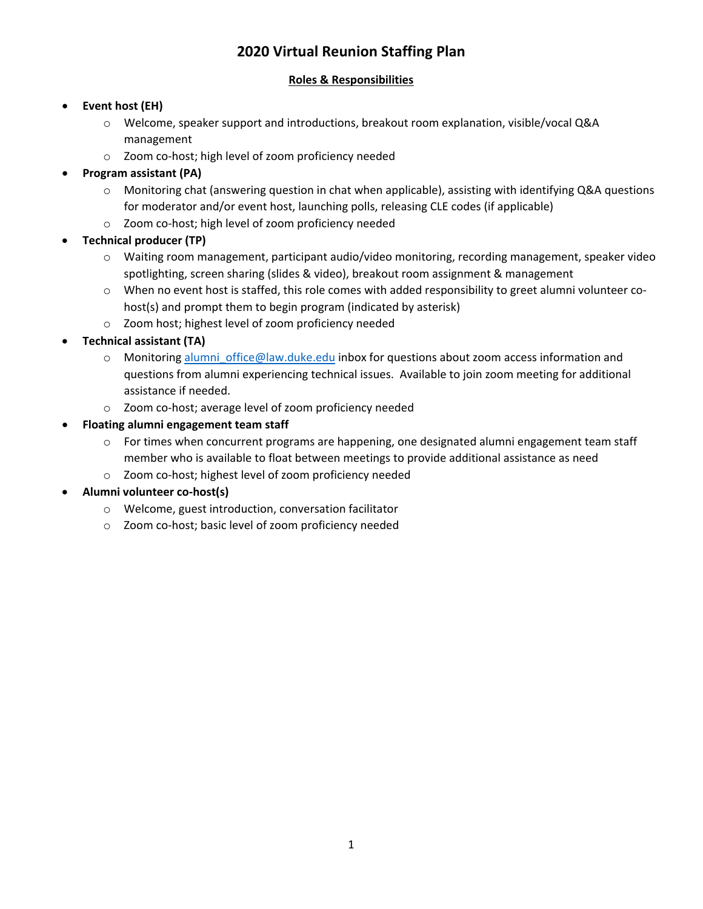## **2020 Virtual Reunion Staffing Plan**

## **Roles & Responsibilities**

## • **Event host (EH)**

- o Welcome, speaker support and introductions, breakout room explanation, visible/vocal Q&A management
- o Zoom co-host; high level of zoom proficiency needed

## • **Program assistant (PA)**

- o Monitoring chat (answering question in chat when applicable), assisting with identifying Q&A questions for moderator and/or event host, launching polls, releasing CLE codes (if applicable)
- o Zoom co-host; high level of zoom proficiency needed

## • **Technical producer (TP)**

- o Waiting room management, participant audio/video monitoring, recording management, speaker video spotlighting, screen sharing (slides & video), breakout room assignment & management
- o When no event host is staffed, this role comes with added responsibility to greet alumni volunteer cohost(s) and prompt them to begin program (indicated by asterisk)
- o Zoom host; highest level of zoom proficiency needed

## • **Technical assistant (TA)**

- o Monitoring [alumni\\_office@law.duke.edu](mailto:alumni_office@law.duke.edu) inbox for questions about zoom access information and questions from alumni experiencing technical issues. Available to join zoom meeting for additional assistance if needed.
- o Zoom co-host; average level of zoom proficiency needed

## • **Floating alumni engagement team staff**

- $\circ$  For times when concurrent programs are happening, one designated alumni engagement team staff member who is available to float between meetings to provide additional assistance as need
- o Zoom co-host; highest level of zoom proficiency needed
- **Alumni volunteer co-host(s)**
	- o Welcome, guest introduction, conversation facilitator
	- o Zoom co-host; basic level of zoom proficiency needed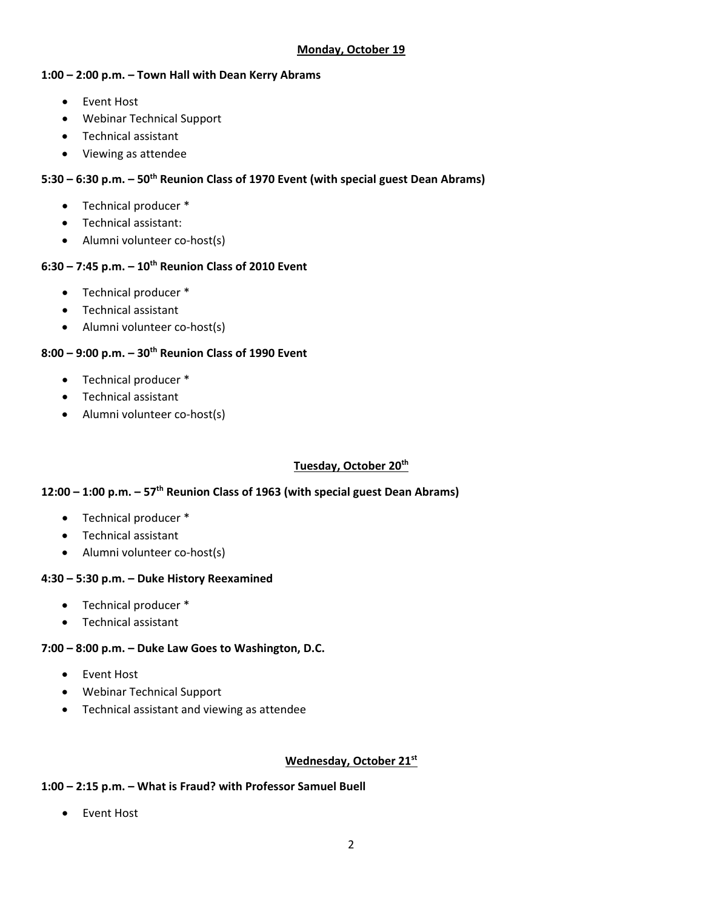#### **Monday, October 19**

#### **1:00 – 2:00 p.m. – Town Hall with Dean Kerry Abrams**

- Event Host
- Webinar Technical Support
- Technical assistant
- Viewing as attendee

### **5:30 – 6:30 p.m. – 50th Reunion Class of 1970 Event (with special guest Dean Abrams)**

- Technical producer \*
- Technical assistant:
- Alumni volunteer co-host(s)

## **6:30 – 7:45 p.m. – 10th Reunion Class of 2010 Event**

- Technical producer \*
- Technical assistant
- Alumni volunteer co-host(s)

## **8:00 – 9:00 p.m. – 30th Reunion Class of 1990 Event**

- Technical producer \*
- Technical assistant
- Alumni volunteer co-host(s)

### **Tuesday, October 20th**

### **12:00 – 1:00 p.m. – 57th Reunion Class of 1963 (with special guest Dean Abrams)**

- Technical producer \*
- Technical assistant
- Alumni volunteer co-host(s)

### **4:30 – 5:30 p.m. – Duke History Reexamined**

- Technical producer \*
- Technical assistant

### **7:00 – 8:00 p.m. – Duke Law Goes to Washington, D.C.**

- Event Host
- Webinar Technical Support
- Technical assistant and viewing as attendee

### **Wednesday, October 21st**

### **1:00 – 2:15 p.m. – What is Fraud? with Professor Samuel Buell**

• Event Host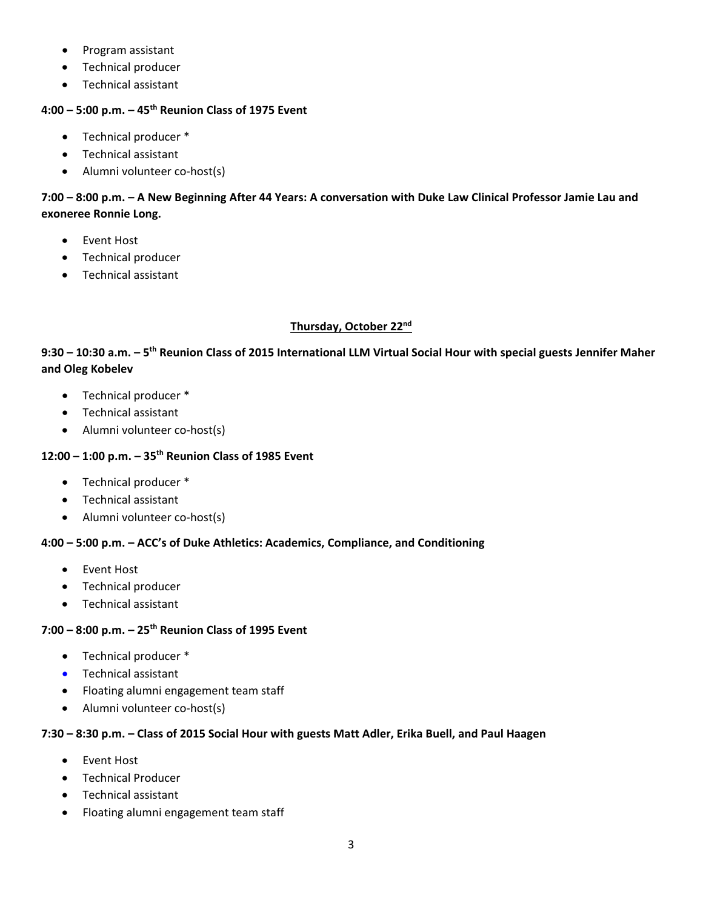- Program assistant
- Technical producer
- Technical assistant

### **4:00 – 5:00 p.m. – 45th Reunion Class of 1975 Event**

- Technical producer \*
- Technical assistant
- Alumni volunteer co-host(s)

## **7:00 – 8:00 p.m. – A New Beginning After 44 Years: A conversation with Duke Law Clinical Professor Jamie Lau and exoneree Ronnie Long.**

- Event Host
- Technical producer
- Technical assistant

#### **Thursday, October 22nd**

## **9:30 – 10:30 a.m. – 5th Reunion Class of 2015 International LLM Virtual Social Hour with special guests Jennifer Maher and Oleg Kobelev**

- Technical producer \*
- Technical assistant
- Alumni volunteer co-host(s)

## **12:00 – 1:00 p.m. – 35th Reunion Class of 1985 Event**

- Technical producer \*
- Technical assistant
- Alumni volunteer co-host(s)

### **4:00 – 5:00 p.m. – ACC's of Duke Athletics: Academics, Compliance, and Conditioning**

- Event Host
- Technical producer
- Technical assistant

#### **7:00 – 8:00 p.m. – 25th Reunion Class of 1995 Event**

- Technical producer \*
- Technical assistant
- Floating alumni engagement team staff
- Alumni volunteer co-host(s)

#### **7:30 – 8:30 p.m. – Class of 2015 Social Hour with guests Matt Adler, Erika Buell, and Paul Haagen**

- Event Host
- Technical Producer
- Technical assistant
- Floating alumni engagement team staff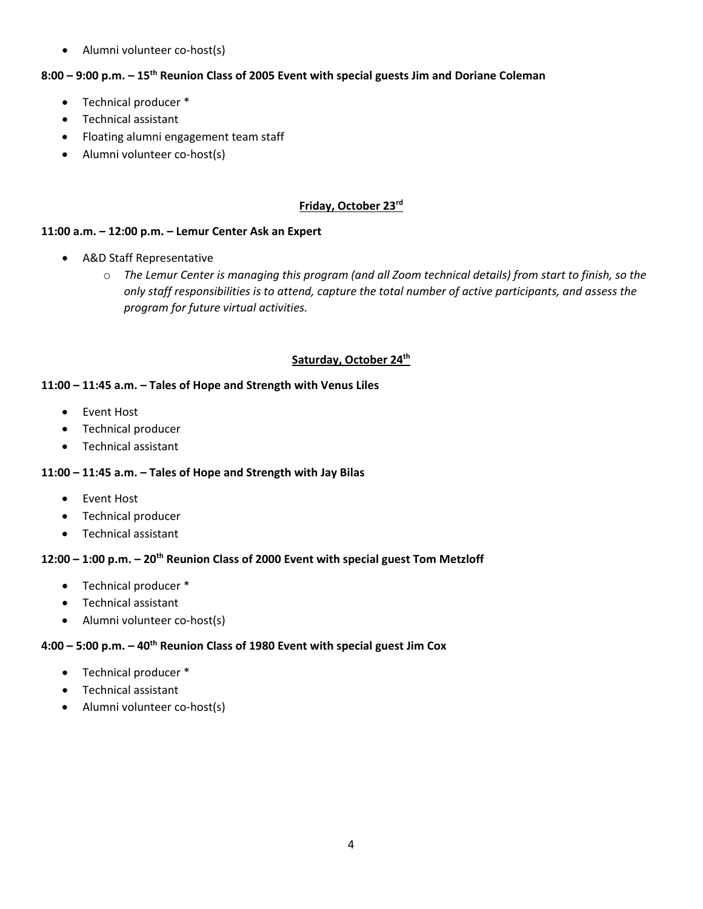• Alumni volunteer co-host(s)

#### **8:00 – 9:00 p.m. – 15th Reunion Class of 2005 Event with special guests Jim and Doriane Coleman**

- Technical producer \*
- Technical assistant
- Floating alumni engagement team staff
- Alumni volunteer co-host(s)

## **Friday, October 23rd**

#### **11:00 a.m. – 12:00 p.m. – Lemur Center Ask an Expert**

- A&D Staff Representative
	- o *The Lemur Center is managing this program (and all Zoom technical details) from start to finish, so the only staff responsibilities is to attend, capture the total number of active participants, and assess the program for future virtual activities.*

#### **Saturday, October 24th**

#### **11:00 – 11:45 a.m. – Tales of Hope and Strength with Venus Liles**

- Event Host
- Technical producer
- Technical assistant

#### **11:00 – 11:45 a.m. – Tales of Hope and Strength with Jay Bilas**

- Event Host
- Technical producer
- Technical assistant

#### **12:00 – 1:00 p.m. – 20th Reunion Class of 2000 Event with special guest Tom Metzloff**

- Technical producer \*
- Technical assistant
- Alumni volunteer co-host(s)

#### **4:00 – 5:00 p.m. – 40th Reunion Class of 1980 Event with special guest Jim Cox**

- Technical producer \*
- Technical assistant
- Alumni volunteer co-host(s)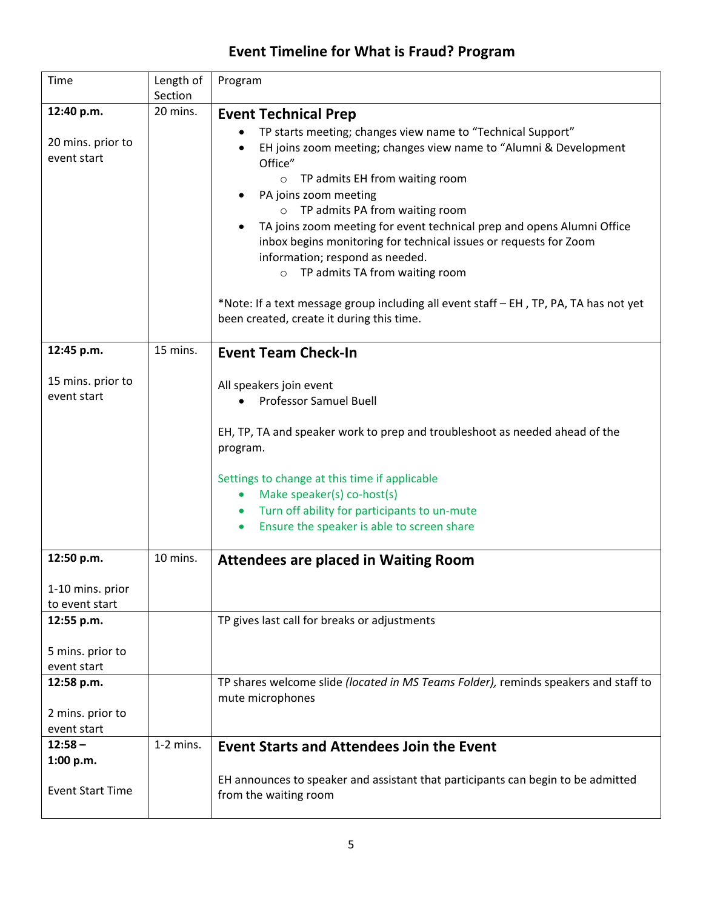# **Event Timeline for What is Fraud? Program**

| Time                             | Length of<br>Section | Program                                                                                                 |
|----------------------------------|----------------------|---------------------------------------------------------------------------------------------------------|
| 12:40 p.m.                       | 20 mins.             | <b>Event Technical Prep</b>                                                                             |
|                                  |                      | TP starts meeting; changes view name to "Technical Support"                                             |
| 20 mins. prior to                |                      | EH joins zoom meeting; changes view name to "Alumni & Development                                       |
| event start                      |                      | Office"                                                                                                 |
|                                  |                      | o TP admits EH from waiting room                                                                        |
|                                  |                      | PA joins zoom meeting                                                                                   |
|                                  |                      | o TP admits PA from waiting room                                                                        |
|                                  |                      | TA joins zoom meeting for event technical prep and opens Alumni Office                                  |
|                                  |                      | inbox begins monitoring for technical issues or requests for Zoom                                       |
|                                  |                      | information; respond as needed.                                                                         |
|                                  |                      | o TP admits TA from waiting room                                                                        |
|                                  |                      | *Note: If a text message group including all event staff - EH, TP, PA, TA has not yet                   |
|                                  |                      | been created, create it during this time.                                                               |
|                                  |                      |                                                                                                         |
| 12:45 p.m.                       | 15 mins.             | <b>Event Team Check-In</b>                                                                              |
|                                  |                      |                                                                                                         |
| 15 mins. prior to<br>event start |                      | All speakers join event                                                                                 |
|                                  |                      | <b>Professor Samuel Buell</b>                                                                           |
|                                  |                      |                                                                                                         |
|                                  |                      | EH, TP, TA and speaker work to prep and troubleshoot as needed ahead of the<br>program.                 |
|                                  |                      |                                                                                                         |
|                                  |                      | Settings to change at this time if applicable                                                           |
|                                  |                      | Make speaker(s) co-host(s)<br>$\bullet$                                                                 |
|                                  |                      | Turn off ability for participants to un-mute                                                            |
|                                  |                      | Ensure the speaker is able to screen share                                                              |
|                                  |                      |                                                                                                         |
| 12:50 p.m.                       | 10 mins.             | <b>Attendees are placed in Waiting Room</b>                                                             |
| 1-10 mins. prior                 |                      |                                                                                                         |
| to event start                   |                      |                                                                                                         |
| 12:55 p.m.                       |                      | TP gives last call for breaks or adjustments                                                            |
|                                  |                      |                                                                                                         |
| 5 mins. prior to                 |                      |                                                                                                         |
| event start                      |                      |                                                                                                         |
| 12:58 p.m.                       |                      | TP shares welcome slide (located in MS Teams Folder), reminds speakers and staff to<br>mute microphones |
| 2 mins. prior to                 |                      |                                                                                                         |
| event start                      |                      |                                                                                                         |
| $12:58 -$                        | $1-2$ mins.          | <b>Event Starts and Attendees Join the Event</b>                                                        |
| 1:00 p.m.                        |                      |                                                                                                         |
|                                  |                      | EH announces to speaker and assistant that participants can begin to be admitted                        |
| <b>Event Start Time</b>          |                      | from the waiting room                                                                                   |
|                                  |                      |                                                                                                         |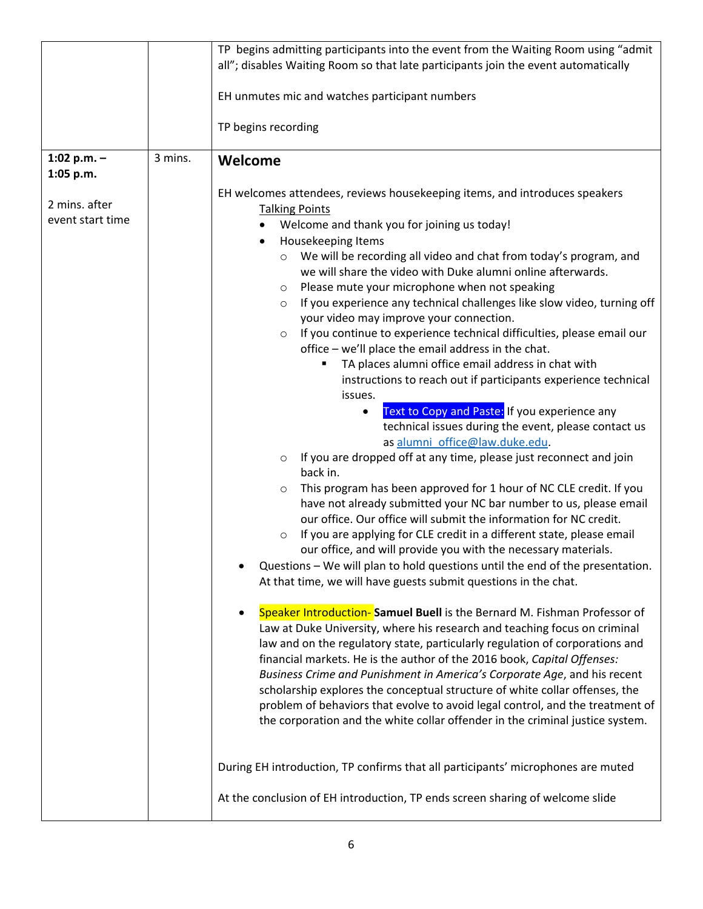|                            |         | TP begins admitting participants into the event from the Waiting Room using "admit                                                                                                                                                                                                                                                                                                                                                                                                                                                                                                                                                            |
|----------------------------|---------|-----------------------------------------------------------------------------------------------------------------------------------------------------------------------------------------------------------------------------------------------------------------------------------------------------------------------------------------------------------------------------------------------------------------------------------------------------------------------------------------------------------------------------------------------------------------------------------------------------------------------------------------------|
|                            |         | all"; disables Waiting Room so that late participants join the event automatically                                                                                                                                                                                                                                                                                                                                                                                                                                                                                                                                                            |
|                            |         | EH unmutes mic and watches participant numbers                                                                                                                                                                                                                                                                                                                                                                                                                                                                                                                                                                                                |
|                            |         | TP begins recording                                                                                                                                                                                                                                                                                                                                                                                                                                                                                                                                                                                                                           |
| 1:02 p.m. $-$<br>1:05 p.m. | 3 mins. | Welcome                                                                                                                                                                                                                                                                                                                                                                                                                                                                                                                                                                                                                                       |
| 2 mins. after              |         | EH welcomes attendees, reviews housekeeping items, and introduces speakers<br><b>Talking Points</b>                                                                                                                                                                                                                                                                                                                                                                                                                                                                                                                                           |
| event start time           |         | Welcome and thank you for joining us today!<br>Housekeeping Items<br>٠                                                                                                                                                                                                                                                                                                                                                                                                                                                                                                                                                                        |
|                            |         | We will be recording all video and chat from today's program, and<br>$\circ$<br>we will share the video with Duke alumni online afterwards.<br>Please mute your microphone when not speaking<br>$\circ$<br>If you experience any technical challenges like slow video, turning off<br>$\circ$                                                                                                                                                                                                                                                                                                                                                 |
|                            |         | your video may improve your connection.<br>If you continue to experience technical difficulties, please email our<br>$\circ$                                                                                                                                                                                                                                                                                                                                                                                                                                                                                                                  |
|                            |         | office - we'll place the email address in the chat.<br>TA places alumni office email address in chat with<br>instructions to reach out if participants experience technical                                                                                                                                                                                                                                                                                                                                                                                                                                                                   |
|                            |         | issues.<br>Text to Copy and Paste: If you experience any<br>technical issues during the event, please contact us<br>as alumni_office@law.duke.edu.                                                                                                                                                                                                                                                                                                                                                                                                                                                                                            |
|                            |         | If you are dropped off at any time, please just reconnect and join<br>$\circ$<br>back in.                                                                                                                                                                                                                                                                                                                                                                                                                                                                                                                                                     |
|                            |         | This program has been approved for 1 hour of NC CLE credit. If you<br>$\circ$<br>have not already submitted your NC bar number to us, please email<br>our office. Our office will submit the information for NC credit.<br>If you are applying for CLE credit in a different state, please email<br>$\circ$<br>our office, and will provide you with the necessary materials.<br>Questions - We will plan to hold questions until the end of the presentation.<br>At that time, we will have guests submit questions in the chat.                                                                                                             |
|                            |         | Speaker Introduction-Samuel Buell is the Bernard M. Fishman Professor of<br>Law at Duke University, where his research and teaching focus on criminal<br>law and on the regulatory state, particularly regulation of corporations and<br>financial markets. He is the author of the 2016 book, Capital Offenses:<br>Business Crime and Punishment in America's Corporate Age, and his recent<br>scholarship explores the conceptual structure of white collar offenses, the<br>problem of behaviors that evolve to avoid legal control, and the treatment of<br>the corporation and the white collar offender in the criminal justice system. |
|                            |         | During EH introduction, TP confirms that all participants' microphones are muted                                                                                                                                                                                                                                                                                                                                                                                                                                                                                                                                                              |
|                            |         | At the conclusion of EH introduction, TP ends screen sharing of welcome slide                                                                                                                                                                                                                                                                                                                                                                                                                                                                                                                                                                 |